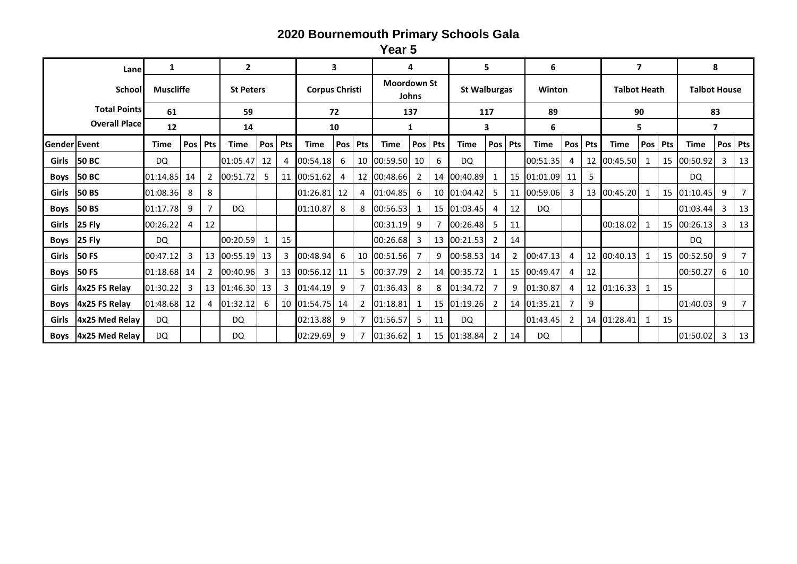**Year 5**

| Lane                |                      | 1           |                  |            | $\overline{2}$ |                  |            |             | 3                     |            |             | 4                           |            |             | 5.                  |            | 6           |     |            |                     | 7   |     | 8                   |   |         |  |
|---------------------|----------------------|-------------|------------------|------------|----------------|------------------|------------|-------------|-----------------------|------------|-------------|-----------------------------|------------|-------------|---------------------|------------|-------------|-----|------------|---------------------|-----|-----|---------------------|---|---------|--|
|                     | School               |             | <b>Muscliffe</b> |            |                | <b>St Peters</b> |            |             | <b>Corpus Christi</b> |            |             | <b>Moordown St</b><br>Johns |            |             | <b>St Walburgas</b> |            | Winton      |     |            | <b>Talbot Heath</b> |     |     | <b>Talbot House</b> |   |         |  |
|                     | <b>Total Points</b>  | 61          |                  |            | 59             |                  |            | 72          |                       |            | 137         |                             |            | 117         |                     |            | 89          |     |            |                     | 90  |     | 83                  |   |         |  |
|                     | <b>Overall Place</b> | 12          |                  |            | 14             |                  |            | 10          |                       |            | 1           |                             |            |             | 3                   |            | 6           |     |            | 5                   |     |     | 7                   |   |         |  |
| <b>Gender Event</b> |                      | Time        | Pos              | <b>Pts</b> | <b>Time</b>    | Pos              | <b>Pts</b> | <b>Time</b> | Pos                   | <b>Pts</b> | <b>Time</b> | Pos                         | <b>Pts</b> | <b>Time</b> | Pos                 | <b>Pts</b> | Time        | Pos | <b>Pts</b> | <b>Time</b>         | Pos | Pts | <b>Time</b>         |   | Pos Pts |  |
| Girls               | <b>50 BC</b>         | <b>DQ</b>   |                  |            | 01:05.47       | 12               |            | 00:54.18    | 6                     | 10         | 00:59.50    | -10                         | 6          | <b>DQ</b>   |                     |            | 00:51.35    | 4   | 12         | 00:45.50            |     | 15  | 00:50.92            | 3 | 13      |  |
| <b>Boys</b>         | <b>50 BC</b>         | 01:14.85    | 14               |            | 00:51.72       | 5                | 11         | 00:51.62    |                       | 12         | 00:48.66    | 2                           | 14         | 00:40.89    |                     | 15         | 01:01.09    | 11  | 5          |                     |     |     | DQ.                 |   |         |  |
| Girls               | <b>50 BS</b>         | 01:08.36    | 8                | 8          |                |                  |            | 01:26.81    | 12                    | 4          | 01:04.85    | 6                           | 10         | 01:04.42    | 5                   | 11         | 00:59.06    | 3   | 13         | 00:45.20            |     | 15  | 01:10.45            | 9 |         |  |
| Boys                | <b>50 BS</b>         | 01:17.78    | 9                |            | DQ.            |                  |            | 01:10.87    | 8                     | 8          | 00:56.53    |                             | 15         | 01:03.45    | 4                   | 12         | DQ.         |     |            |                     |     |     | 01:03.44            | 3 | 13      |  |
| Girls               | 25 Fly               | 00:26.22    | 4                | 12         |                |                  |            |             |                       |            | 00:31.19    | 9                           |            | 00:26.48    | 5                   | 11         |             |     |            | 00:18.02            |     | 15  | 00:26.13            | 3 | 13      |  |
| <b>Boys</b>         | 25 Fly               | DQ.         |                  |            | 00:20.59       |                  | 15         |             |                       |            | 00:26.68    | 3                           | 13         | 00:21.53    | 2                   | 14         |             |     |            |                     |     |     | DQ.                 |   |         |  |
| Girls               | <b>50 FS</b>         | 00:47.12    | 3                | -13        | 00:55.19       | 13               | 3          | 00:48.94    | 6                     | 10         | 00:51.56    |                             | 9          | 00:58.53    | 14                  |            | 00:47.13    | 4   | 12         | 00:40.13            |     | 15  | 00:52.50            | 9 |         |  |
| <b>Boys</b>         | <b>50 FS</b>         | 01:18.68 14 |                  |            | 00:40.96       | 3                | -13        | 00:56.12    | -11                   |            | 00:37.79    |                             |            | 14 00:35.72 |                     | 15         | 00:49.47    | 4   | 12         |                     |     |     | 00:50.27            | 6 | 10      |  |
| Girls               | 4x25 FS Relay        | 01:30.22    | 3                | 13         | 01:46.30       | 13               |            | 01:44.19    | 9                     |            | 01:36.43    | 8                           | 8          | 01:34.72    |                     | q          | 01:30.87    | 4   | 12         | 01:16.33            |     | 15  |                     |   |         |  |
| <b>Boys</b>         | 4x25 FS Relay        | 01:48.68 12 |                  | 4          | 01:32.12       | 6                | 10         | 01:54.75    | -14                   |            | 01:18.81    |                             | 15         | 01:19.26    |                     |            | 14 01:35.21 |     | 9          |                     |     |     | 01:40.03            | 9 |         |  |
| Girls               | 4x25 Med Relay       | <b>DQ</b>   |                  |            | DQ.            |                  |            | 02:13.88    | 9                     |            | 01:56.57    | 5                           | 11         | DQ.         |                     |            | 01:43.45    |     |            | 14 01:28.41         |     | 15  |                     |   |         |  |
| <b>Boys</b>         | 4x25 Med Relay       | <b>DQ</b>   |                  |            | DQ.            |                  |            | 02:29.69    | 9                     |            | 01:36.62    |                             | 15         | 01:38.84    | 2                   | 14         | DQ.         |     |            |                     |     |     | 01:50.02            | 3 | 13      |  |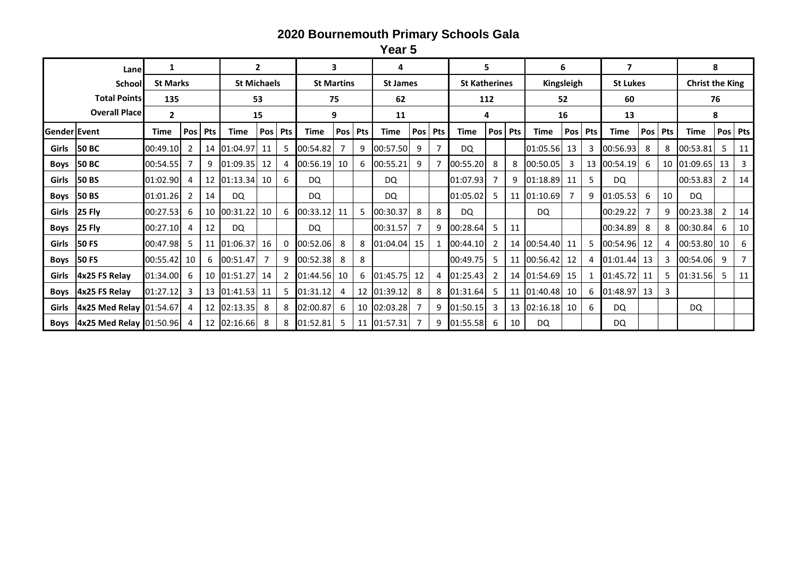**Year 5**

|              | Lane                           | 1              |                 |            |             | $\overline{2}$     |            |             | 3                 |            | 4           |                 |            |             | 5                    |            |             | 6          |            | $\overline{\mathbf{z}}$ |                 |            | 8           |                        |         |  |
|--------------|--------------------------------|----------------|-----------------|------------|-------------|--------------------|------------|-------------|-------------------|------------|-------------|-----------------|------------|-------------|----------------------|------------|-------------|------------|------------|-------------------------|-----------------|------------|-------------|------------------------|---------|--|
|              | School                         |                | <b>St Marks</b> |            |             | <b>St Michaels</b> |            |             | <b>St Martins</b> |            |             | <b>St James</b> |            |             | <b>St Katherines</b> |            |             | Kingsleigh |            |                         | <b>St Lukes</b> |            |             | <b>Christ the King</b> |         |  |
|              | <b>Total Points</b>            | 135            |                 |            | 53          |                    |            | 75          |                   |            | 62          |                 |            | 112         |                      |            | 52          |            |            | 60                      |                 |            | 76          |                        |         |  |
|              | <b>Overall Place</b>           | $\overline{2}$ |                 |            | 15          |                    |            | 9           |                   |            | 11          |                 |            | 4           |                      |            | 16          |            |            | 13                      |                 |            | 8           |                        |         |  |
| Gender Event |                                | Time           | Pos             | <b>Pts</b> | <b>Time</b> | Pos                | <b>Pts</b> | <b>Time</b> | Pos               | <b>Pts</b> | <b>Time</b> | Pos             | <b>Pts</b> | <b>Time</b> | Pos                  | <b>Pts</b> | <b>Time</b> | Pos        | <b>Pts</b> | <b>Time</b>             | Pos             | <b>Pts</b> | <b>Time</b> |                        | Pos Pts |  |
| Girls        | <b>50 BC</b>                   | 00:49.10       |                 | 14         | 01:04.97    | -11                | 5          | 00:54.82    |                   | 9          | 00:57.50    | q               |            | DQ.         |                      |            | 01:05.56    | 13         |            | 00:56.93                | 8               | 8          | 00:53.81    | 5                      | 11      |  |
| <b>Boys</b>  | <b>50 BC</b>                   | 00:54.55       |                 | q          | 01:09.35    | 12                 |            | 00:56.19    | -10               | 6          | 00:55.21    | 9               |            | 00:55.20    | 8                    | 8          | 00:50.05    | 3          | 13         | 00:54.19                | -6              |            | 10 01:09.65 | 13                     | 3       |  |
| <b>Girls</b> | <b>50 BS</b>                   | 01:02.90       |                 | 12         | 01:13.34    | 10                 | 6          | DQ.         |                   |            | DQ.         |                 |            | 01:07.93    |                      | q          | 01:18.89    | 11         |            | DQ.                     |                 |            | 00:53.83    |                        | 14      |  |
| <b>Boys</b>  | <b>50 BS</b>                   | 01:01.26       | 2               | 14         | DQ.         |                    |            | DQ.         |                   |            | DQ.         |                 |            | 01:05.02    |                      | 11         | 01:10.69    |            | 9          | 01:05.53                | 6               | 10         | DQ.         |                        |         |  |
| Girls        | <b>25 Fly</b>                  | 00:27.53       | 6               | 10         | 00:31.22    | 10                 | 6          | 00:33.12    | -11               |            | 00:30.37    | 8               | 8          | DQ.         |                      |            | DQ.         |            |            | 00:29.22                |                 | q          | 00:23.38    | 2                      | 14      |  |
| <b>Boys</b>  | <b>25 Fly</b>                  | 00:27.10       |                 | 12         | DQ.         |                    |            | DQ.         |                   |            | 00:31.57    |                 | q          | 00:28.64    |                      | 11         |             |            |            | 00:34.89                | 8               |            | 00:30.84    | 6                      | 10      |  |
| Girls        | <b>50 FS</b>                   | 00:47.98       | 5               | 11         | 01:06.37    | 16                 | 0          | 00:52.06    | 8                 | 8          | 01:04.04    | -15             |            | 00:44.10    | $\mathcal{P}$        | 14         | 00:54.40    | 11         |            | 00:54.96                | -12             |            | 00:53.80    | 10                     | 6       |  |
| Boys         | <b>50 FS</b>                   | 00:55.42       | 10              | 6          | 00:51.47    |                    | 9          | 00:52.38    | -8                | 8          |             |                 |            | 00:49.75    | 5                    | 11         | 00:56.42    | 12         |            | 01:01.44                | -13             |            | 00:54.06    | 9                      |         |  |
| Girls        | 4x25 FS Relay                  | 01:34.00       | -6              | 10         | 01:51.27    | 14                 |            | 01:44.56    | 10                | 6          | 01:45.75    | -12             | 4          | 01:25.43    |                      |            | 14 01:54.69 | 15         |            | 01:45.72                | 11              |            | 01:31.56    |                        | 11      |  |
| <b>Boys</b>  | 4x25 FS Relay                  | 01:27.12       | 3               | 13         | 01:41.53    | -11                | 5          | 01:31.12    | 4                 | 12         | 01:39.12    | 8               | 8          | 01:31.64    |                      |            | 11 01:40.48 | -10        | 6          | 01:48.97                | -13             | 3          |             |                        |         |  |
| Girls        | <b>4x25 Med Relay 01:54.67</b> |                |                 | 12         | 02:13.35    | -8                 | 8          | 02:00.87    | -6                | 10         | 02:03.28    |                 | 9          | [01:50.15]  | 3                    | -13        | 02:16.18    | - 10       | 6          | DQ.                     |                 |            | DQ.         |                        |         |  |
| <b>Boys</b>  | <b>4x25 Med Relay 01:50.96</b> |                |                 | 12         | 02:16.66    | -8                 | 8          | 01:52.81    |                   | 11         | 01:57.31    |                 | 9          | 01:55.58    | 6                    | 10         | DQ.         |            |            | DQ.                     |                 |            |             |                        |         |  |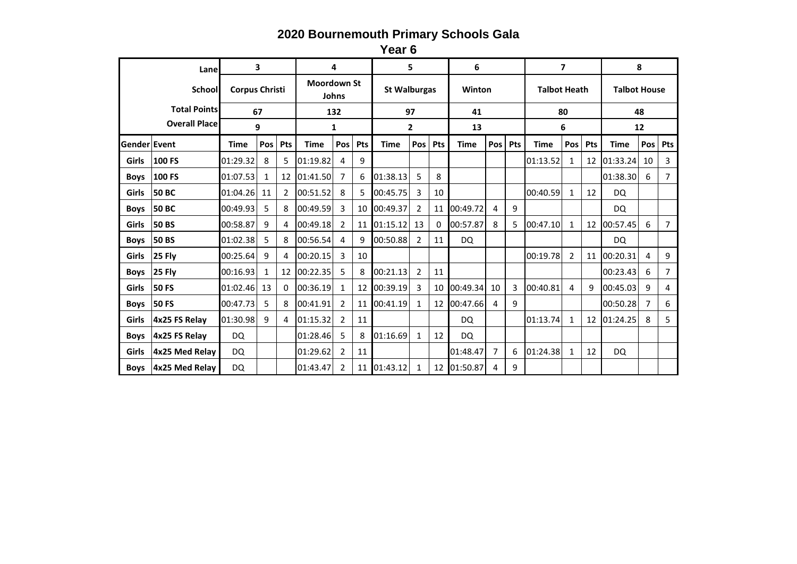**Year 6**

|              | Lane                 |                       | 3   |     |              | 4                                  |     |             | 5                   |     | 6           |                |     |                     | 7              |     | 8                   |     |                |  |  |
|--------------|----------------------|-----------------------|-----|-----|--------------|------------------------------------|-----|-------------|---------------------|-----|-------------|----------------|-----|---------------------|----------------|-----|---------------------|-----|----------------|--|--|
|              | School               | <b>Corpus Christi</b> |     |     |              | <b>Moordown St</b><br><b>Johns</b> |     |             | <b>St Walburgas</b> |     | Winton      |                |     | <b>Talbot Heath</b> |                |     | <b>Talbot House</b> |     |                |  |  |
|              | <b>Total Points</b>  | 67                    |     |     | 132          |                                    |     |             | 97                  |     | 41          |                |     |                     | 80             |     |                     | 48  |                |  |  |
|              | <b>Overall Place</b> | 9                     |     |     | $\mathbf{1}$ |                                    |     |             | $\mathbf{2}$        |     | 13          |                |     |                     | 6              |     |                     | 12  |                |  |  |
| Gender Event |                      | <b>Time</b>           | Pos | Pts | <b>Time</b>  | <b>Pos</b>                         | Pts | <b>Time</b> | Pos                 | Pts | <b>Time</b> | Pos            | Pts | <b>Time</b>         | Pos            | Pts | <b>Time</b>         | Pos | Pts            |  |  |
| Girls        | 100 FS               | 01:29.32              | 8   | 5   | 01:19.82     | 4                                  | 9   |             |                     |     |             |                |     | 01:13.52            | 1              | 12  | 01:33.24            | 10  | 3              |  |  |
| <b>Boys</b>  | 100 FS               | 01:07.53              | 1   | 12  | 01:41.50     | 7                                  | 6   | 01:38.13    | 5                   | 8   |             |                |     |                     |                |     | 01:38.30            | 6   | $\overline{7}$ |  |  |
| <b>Girls</b> | <b>50 BC</b>         | 01:04.26              | 11  | 2   | 00:51.52     | 8                                  | 5   | 00:45.75    | 3                   | 10  |             |                |     | 00:40.59            | 1              | 12  | DQ                  |     |                |  |  |
| <b>Boys</b>  | <b>50 BC</b>         | 00:49.93              | 5   | 8   | 00:49.59     | 3                                  |     | 10 00:49.37 | 2                   | 11  | 00:49.72    | 4              | 9   |                     |                |     | DQ                  |     |                |  |  |
| <b>Girls</b> | <b>50 BS</b>         | 00:58.87              | 9   | 4   | 00:49.18     | $\overline{2}$                     | 11  | 01:15.12    | 13                  | 0   | 00:57.87    | 8              | 5.  | 00:47.10            | 1              | 12  | 00:57.45            | 6   | $\overline{7}$ |  |  |
| <b>Boys</b>  | <b>50 BS</b>         | 01:02.38              | 5   | 8   | 00:56.54     | 4                                  | 9   | 00:50.88    | 2                   | 11  | DQ.         |                |     |                     |                |     | DQ.                 |     |                |  |  |
| Girls        | 25 Fly               | 00:25.64              | 9   | 4   | 00:20.15     | 3                                  | 10  |             |                     |     |             |                |     | 00:19.78            | $\overline{2}$ | 11  | 00:20.31            | 4   | 9              |  |  |
| <b>Boys</b>  | 25 Fly               | 00:16.93              | 1   | 12  | 00:22.35     | 5                                  | 8   | 00:21.13    | 2                   | 11  |             |                |     |                     |                |     | 00:23.43            | 6   | 7              |  |  |
| Girls        | <b>50 FS</b>         | 01:02.46              | 13  | 0   | 00:36.19     | $\mathbf{1}$                       | 12  | 00:39.19    | 3                   | 10  | 00:49.34    | 10             | 3   | 00:40.81            | 4              | 9   | 00:45.03            | 9   | 4              |  |  |
| <b>Boys</b>  | <b>50 FS</b>         | 00:47.73              | 5   | 8   | 00:41.91     | $\overline{2}$                     | 11  | 00:41.19    | $\mathbf{1}$        | 12  | 00:47.66    | 4              | 9   |                     |                |     | 00:50.28            | 7   | 6              |  |  |
| Girls        | 4x25 FS Relay        | 01:30.98              | 9   | 4   | 01:15.32     | $\overline{2}$                     | 11  |             |                     |     | DQ.         |                |     | 01:13.74            | 1              | 12  | 01:24.25            | 8   | 5              |  |  |
| <b>Boys</b>  | 4x25 FS Relay        | DQ                    |     |     | 01:28.46     | 5                                  | 8   | 01:16.69    | $\mathbf{1}$        | 12  | DQ.         |                |     |                     |                |     |                     |     |                |  |  |
| <b>Girls</b> | 4x25 Med Relav       | DQ                    |     |     | 01:29.62     | $\overline{2}$                     | 11  |             |                     |     | 01:48.47    | $\overline{7}$ | 6   | 01:24.38            | $\mathbf{1}$   | 12  | DQ.                 |     |                |  |  |
| <b>Boys</b>  | 4x25 Med Relav       | <b>DQ</b>             |     |     | 01:43.47     | $\overline{2}$                     | 11  | 01:43.12    | 1                   | 12  | 01:50.87    | 4              | 9   |                     |                |     |                     |     |                |  |  |